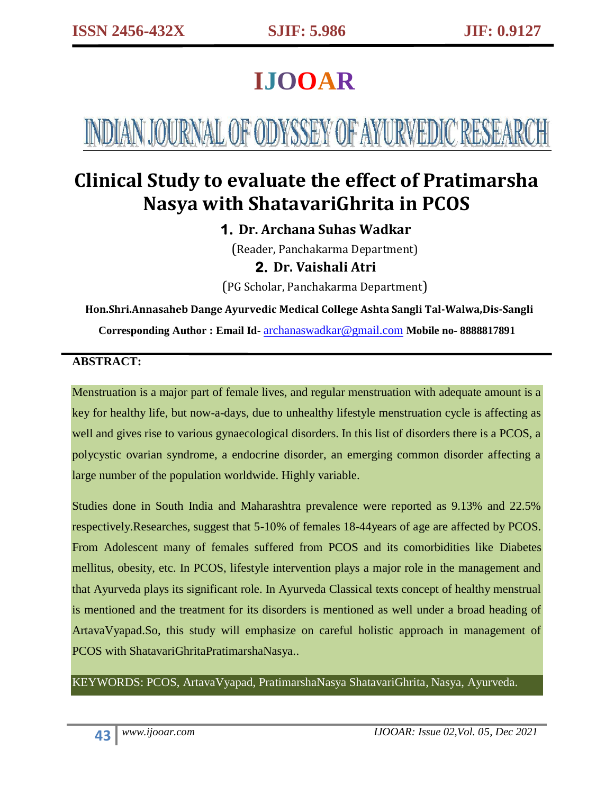# **IJOOAR**

# INDIAN JOURNAL OF ODYSSEY OF AYURVEDIC RESEARCH

# **Clinical Study to evaluate the effect of Pratimarsha Nasya with ShatavariGhrita in PCOS**

# **1. Dr. Archana Suhas Wadkar**

(Reader, Panchakarma Department) **2. Dr. Vaishali Atri**

(PG Scholar, Panchakarma Department)

# **Hon.Shri.Annasaheb Dange Ayurvedic Medical College Ashta Sangli Tal-Walwa,Dis-Sangli**

**Corresponding Author : Email Id-** [archanaswadkar@gmail.com](mailto:archanaswadkar@gmail.com) **Mobile no- 8888817891**

#### **ABSTRACT:**

Menstruation is a major part of female lives, and regular menstruation with adequate amount is a key for healthy life, but now-a-days, due to unhealthy lifestyle menstruation cycle is affecting as well and gives rise to various gynaecological disorders. In this list of disorders there is a PCOS, a polycystic ovarian syndrome, a endocrine disorder, an emerging common disorder affecting a large number of the population worldwide. Highly variable.

Studies done in South India and Maharashtra prevalence were reported as 9.13% and 22.5% respectively.Researches, suggest that 5-10% of females 18-44years of age are affected by PCOS. From Adolescent many of females suffered from PCOS and its comorbidities like Diabetes mellitus, obesity, etc. In PCOS, lifestyle intervention plays a major role in the management and that Ayurveda plays its significant role. In Ayurveda Classical texts concept of healthy menstrual is mentioned and the treatment for its disorders is mentioned as well under a broad heading of ArtavaVyapad.So, this study will emphasize on careful holistic approach in management of PCOS with ShatavariGhritaPratimarshaNasya..

KEYWORDS: PCOS, ArtavaVyapad, PratimarshaNasya ShatavariGhrita, Nasya, Ayurveda.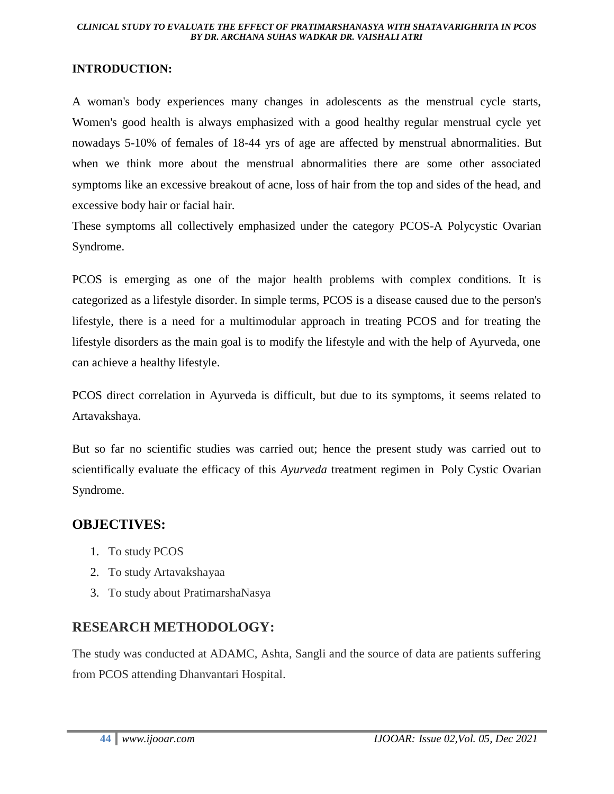#### **INTRODUCTION:**

A woman's body experiences many changes in adolescents as the menstrual cycle starts, Women's good health is always emphasized with a good healthy regular menstrual cycle yet nowadays 5-10% of females of 18-44 yrs of age are affected by menstrual abnormalities. But when we think more about the menstrual abnormalities there are some other associated symptoms like an excessive breakout of acne, loss of hair from the top and sides of the head, and excessive body hair or facial hair.

These symptoms all collectively emphasized under the category PCOS-A Polycystic Ovarian Syndrome.

PCOS is emerging as one of the major health problems with complex conditions. It is categorized as a lifestyle disorder. In simple terms, PCOS is a disease caused due to the person's lifestyle, there is a need for a multimodular approach in treating PCOS and for treating the lifestyle disorders as the main goal is to modify the lifestyle and with the help of Ayurveda, one can achieve a healthy lifestyle.

PCOS direct correlation in Ayurveda is difficult, but due to its symptoms, it seems related to Artavakshaya.

But so far no scientific studies was carried out; hence the present study was carried out to scientifically evaluate the efficacy of this *Ayurveda* treatment regimen in Poly Cystic Ovarian Syndrome.

#### **OBJECTIVES:**

- 1. To study PCOS
- 2. To study Artavakshayaa
- 3. To study about PratimarshaNasya

#### **RESEARCH METHODOLOGY:**

The study was conducted at ADAMC, Ashta, Sangli and the source of data are patients suffering from PCOS attending Dhanvantari Hospital.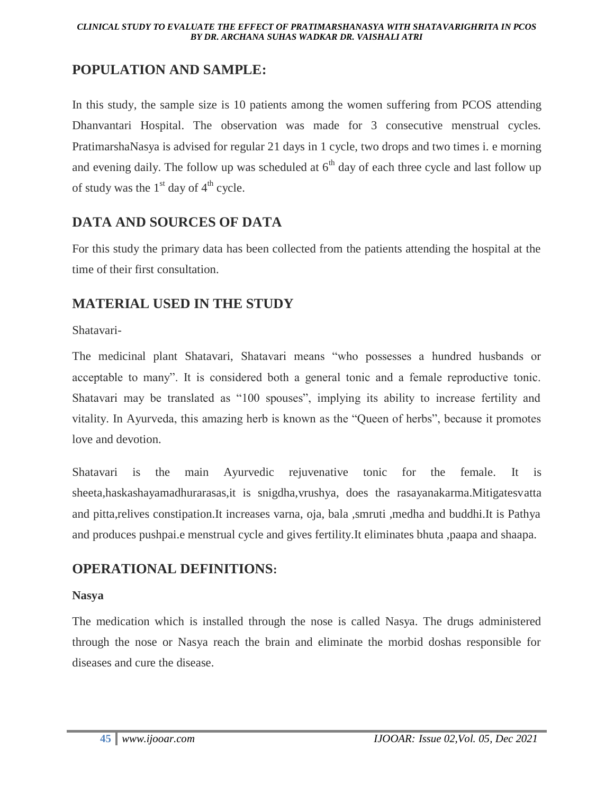### **POPULATION AND SAMPLE:**

In this study, the sample size is 10 patients among the women suffering from PCOS attending Dhanvantari Hospital. The observation was made for 3 consecutive menstrual cycles. PratimarshaNasya is advised for regular 21 days in 1 cycle, two drops and two times i. e morning and evening daily. The follow up was scheduled at  $6<sup>th</sup>$  day of each three cycle and last follow up of study was the  $1<sup>st</sup>$  day of  $4<sup>th</sup>$  cycle.

### **DATA AND SOURCES OF DATA**

For this study the primary data has been collected from the patients attending the hospital at the time of their first consultation.

#### **MATERIAL USED IN THE STUDY**

Shatavari-

The medicinal plant Shatavari, Shatavari means "who possesses a hundred husbands or acceptable to many". It is considered both a general tonic and a female reproductive tonic. Shatavari may be translated as "100 spouses", implying its ability to increase fertility and vitality. In Ayurveda, this amazing herb is known as the "Queen of herbs", because it promotes love and devotion.

Shatavari is the main Ayurvedic rejuvenative tonic for the female. It is sheeta,haskashayamadhurarasas,it is snigdha,vrushya, does the rasayanakarma.Mitigatesvatta and pitta,relives constipation.It increases varna, oja, bala ,smruti ,medha and buddhi.It is Pathya and produces pushpai.e menstrual cycle and gives fertility.It eliminates bhuta ,paapa and shaapa.

## **OPERATIONAL DEFINITIONS:**

#### **Nasya**

The medication which is installed through the nose is called Nasya. The drugs administered through the nose or Nasya reach the brain and eliminate the morbid doshas responsible for diseases and cure the disease.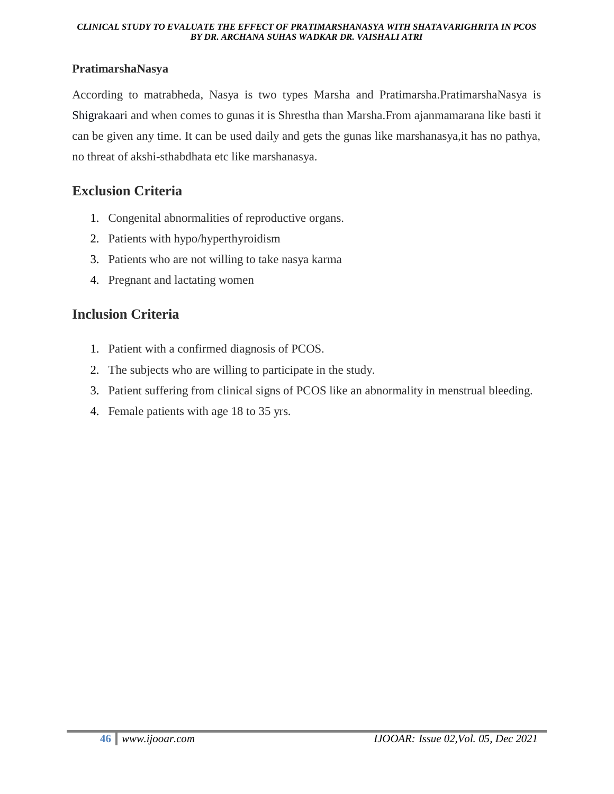#### **PratimarshaNasya**

According to matrabheda, Nasya is two types Marsha and Pratimarsha.PratimarshaNasya is Shigrakaari and when comes to gunas it is Shrestha than Marsha.From ajanmamarana like basti it can be given any time. It can be used daily and gets the gunas like marshanasya,it has no pathya, no threat of akshi-sthabdhata etc like marshanasya.

#### **Exclusion Criteria**

- 1. Congenital abnormalities of reproductive organs.
- 2. Patients with hypo/hyperthyroidism
- 3. Patients who are not willing to take nasya karma
- 4. Pregnant and lactating women

#### **Inclusion Criteria**

- 1. Patient with a confirmed diagnosis of PCOS.
- 2. The subjects who are willing to participate in the study.
- 3. Patient suffering from clinical signs of PCOS like an abnormality in menstrual bleeding.
- 4. Female patients with age 18 to 35 yrs.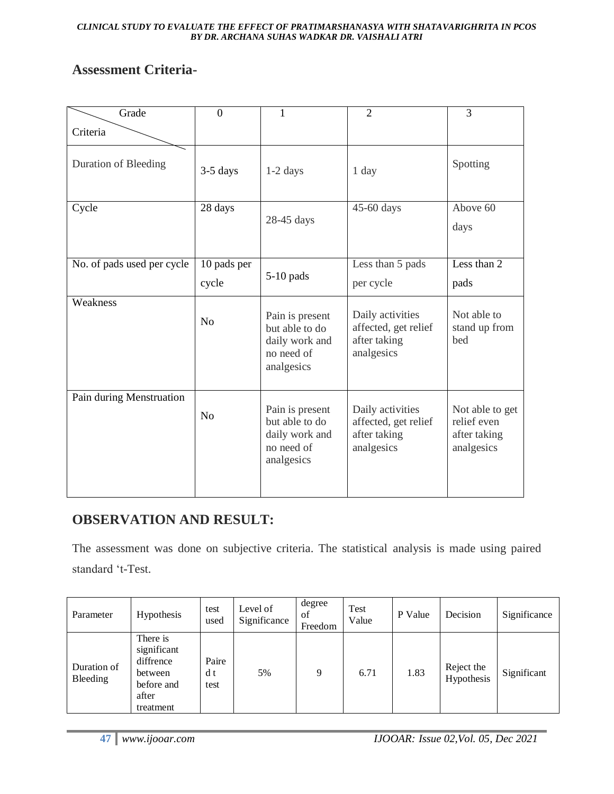#### **Assessment Criteria-**

| Grade                      | $\Omega$             | 1                                                                               | $\overline{2}$                                                         | 3                                                            |
|----------------------------|----------------------|---------------------------------------------------------------------------------|------------------------------------------------------------------------|--------------------------------------------------------------|
| Criteria                   |                      |                                                                                 |                                                                        |                                                              |
| Duration of Bleeding       | $3-5$ days           | $1-2$ days                                                                      | 1 day                                                                  | Spotting                                                     |
| Cycle                      | 28 days              | 28-45 days                                                                      | 45-60 days                                                             | Above 60<br>days                                             |
| No. of pads used per cycle | 10 pads per<br>cycle | $5-10$ pads                                                                     | Less than 5 pads<br>per cycle                                          | Less than $2$<br>pads                                        |
| Weakness                   | N <sub>0</sub>       | Pain is present<br>but able to do<br>daily work and<br>no need of<br>analgesics | Daily activities<br>affected, get relief<br>after taking<br>analgesics | Not able to<br>stand up from<br>bed                          |
| Pain during Menstruation   | N <sub>0</sub>       | Pain is present<br>but able to do<br>daily work and<br>no need of<br>analgesics | Daily activities<br>affected, get relief<br>after taking<br>analgesics | Not able to get<br>relief even<br>after taking<br>analgesics |

## **OBSERVATION AND RESULT:**

The assessment was done on subjective criteria. The statistical analysis is made using paired standard "t-Test.

| Parameter               | Hypothesis                                                                          | test<br>used         | Level of<br>Significance | degree<br>of<br>Freedom | Test<br>Value | P Value | Decision                 | Significance |
|-------------------------|-------------------------------------------------------------------------------------|----------------------|--------------------------|-------------------------|---------------|---------|--------------------------|--------------|
| Duration of<br>Bleeding | There is<br>significant<br>diffrence<br>between<br>before and<br>after<br>treatment | Paire<br>d t<br>test | 5%                       | 9                       | 6.71          | 1.83    | Reject the<br>Hypothesis | Significant  |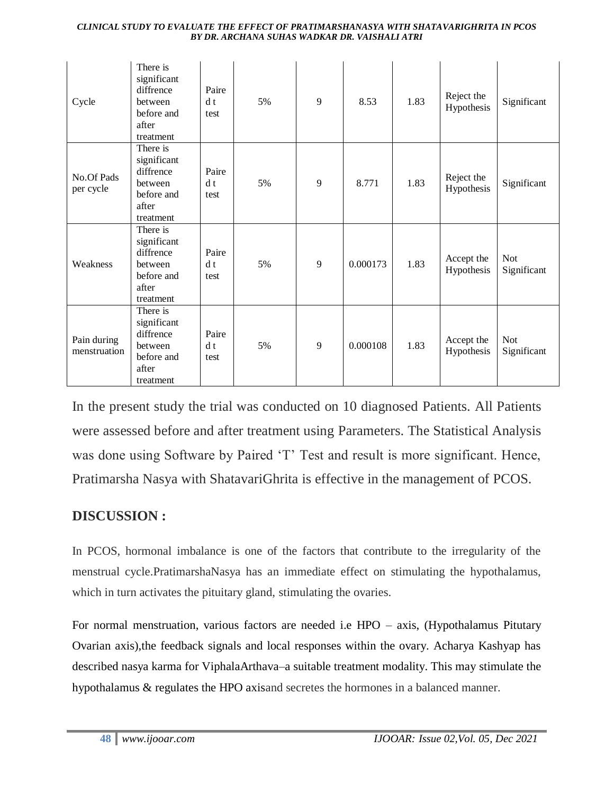| Cycle                       | There is<br>significant<br>diffrence<br>between<br>before and<br>after<br>treatment | Paire<br>d t<br>test | 5% | 9 | 8.53     | 1.83 | Reject the<br>Hypothesis | Significant               |
|-----------------------------|-------------------------------------------------------------------------------------|----------------------|----|---|----------|------|--------------------------|---------------------------|
| No.Of Pads<br>per cycle     | There is<br>significant<br>diffrence<br>between<br>before and<br>after<br>treatment | Paire<br>d t<br>test | 5% | 9 | 8.771    | 1.83 | Reject the<br>Hypothesis | Significant               |
| Weakness                    | There is<br>significant<br>diffrence<br>between<br>before and<br>after<br>treatment | Paire<br>d t<br>test | 5% | 9 | 0.000173 | 1.83 | Accept the<br>Hypothesis | <b>Not</b><br>Significant |
| Pain during<br>menstruation | There is<br>significant<br>diffrence<br>between<br>before and<br>after<br>treatment | Paire<br>d t<br>test | 5% | 9 | 0.000108 | 1.83 | Accept the<br>Hypothesis | <b>Not</b><br>Significant |

In the present study the trial was conducted on 10 diagnosed Patients. All Patients were assessed before and after treatment using Parameters. The Statistical Analysis was done using Software by Paired 'T' Test and result is more significant. Hence, Pratimarsha Nasya with ShatavariGhrita is effective in the management of PCOS.

#### **DISCUSSION :**

In PCOS, hormonal imbalance is one of the factors that contribute to the irregularity of the menstrual cycle.PratimarshaNasya has an immediate effect on stimulating the hypothalamus, which in turn activates the pituitary gland, stimulating the ovaries.

For normal menstruation, various factors are needed i.e HPO – axis, (Hypothalamus Pitutary Ovarian axis),the feedback signals and local responses within the ovary. Acharya Kashyap has described nasya karma for ViphalaArthava–a suitable treatment modality. This may stimulate the hypothalamus & regulates the HPO axisand secretes the hormones in a balanced manner.